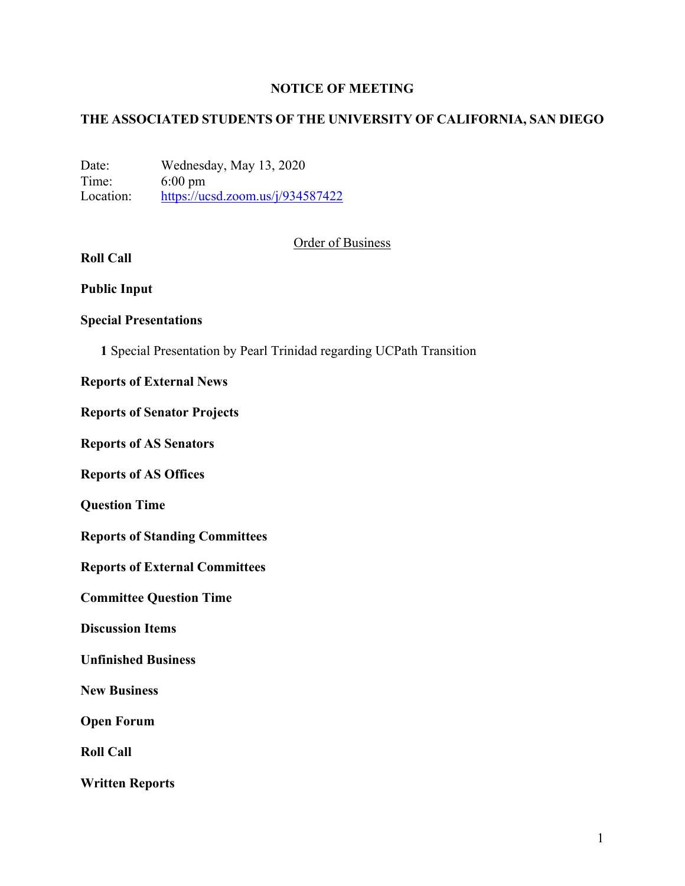## **NOTICE OF MEETING**

## **THE ASSOCIATED STUDENTS OF THE UNIVERSITY OF CALIFORNIA, SAN DIEGO**

Date: Wednesday, May 13, 2020 Time: 6:00 pm Location: https://ucsd.zoom.us/j/934587422

## Order of Business

# **Roll Call**

**Public Input**

## **Special Presentations**

**1** Special Presentation by Pearl Trinidad regarding UCPath Transition

#### **Reports of External News**

#### **Reports of Senator Projects**

**Reports of AS Senators**

**Reports of AS Offices**

**Question Time**

**Reports of Standing Committees**

**Reports of External Committees**

**Committee Question Time**

**Discussion Items**

**Unfinished Business**

**New Business**

**Open Forum**

**Roll Call**

**Written Reports**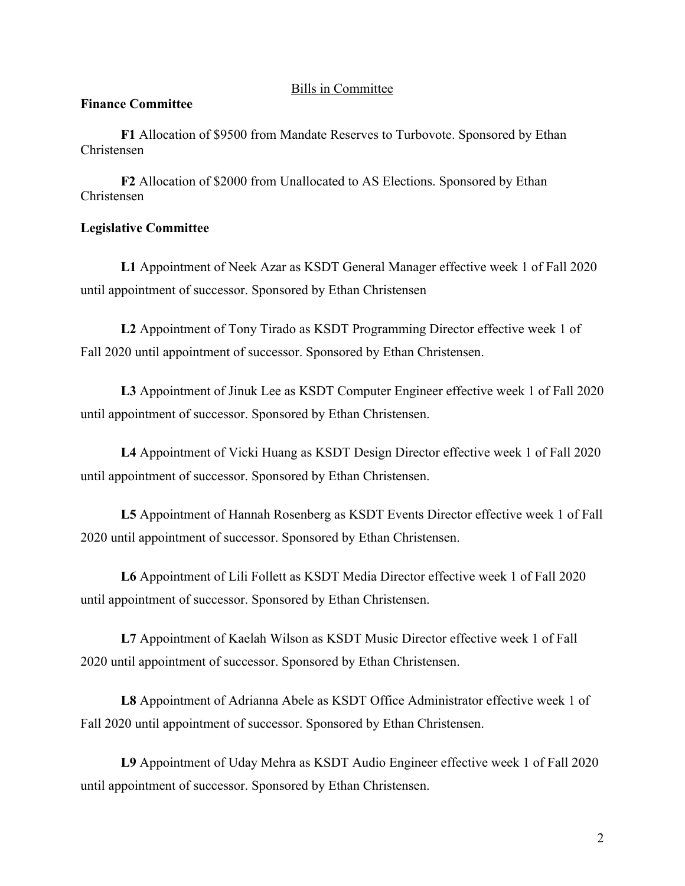#### Bills in Committee

#### **Finance Committee**

**F1** Allocation of \$9500 from Mandate Reserves to Turbovote. Sponsored by Ethan Christensen

**F2** Allocation of \$2000 from Unallocated to AS Elections. Sponsored by Ethan Christensen

## **Legislative Committee**

**L1** Appointment of Neek Azar as KSDT General Manager effective week 1 of Fall 2020 until appointment of successor. Sponsored by Ethan Christensen

**L2** Appointment of Tony Tirado as KSDT Programming Director effective week 1 of Fall 2020 until appointment of successor. Sponsored by Ethan Christensen.

**L3** Appointment of Jinuk Lee as KSDT Computer Engineer effective week 1 of Fall 2020 until appointment of successor. Sponsored by Ethan Christensen.

**L4** Appointment of Vicki Huang as KSDT Design Director effective week 1 of Fall 2020 until appointment of successor. Sponsored by Ethan Christensen.

**L5** Appointment of Hannah Rosenberg as KSDT Events Director effective week 1 of Fall 2020 until appointment of successor. Sponsored by Ethan Christensen.

**L6** Appointment of Lili Follett as KSDT Media Director effective week 1 of Fall 2020 until appointment of successor. Sponsored by Ethan Christensen.

**L7** Appointment of Kaelah Wilson as KSDT Music Director effective week 1 of Fall 2020 until appointment of successor. Sponsored by Ethan Christensen.

**L8** Appointment of Adrianna Abele as KSDT Office Administrator effective week 1 of Fall 2020 until appointment of successor. Sponsored by Ethan Christensen.

**L9** Appointment of Uday Mehra as KSDT Audio Engineer effective week 1 of Fall 2020 until appointment of successor. Sponsored by Ethan Christensen.